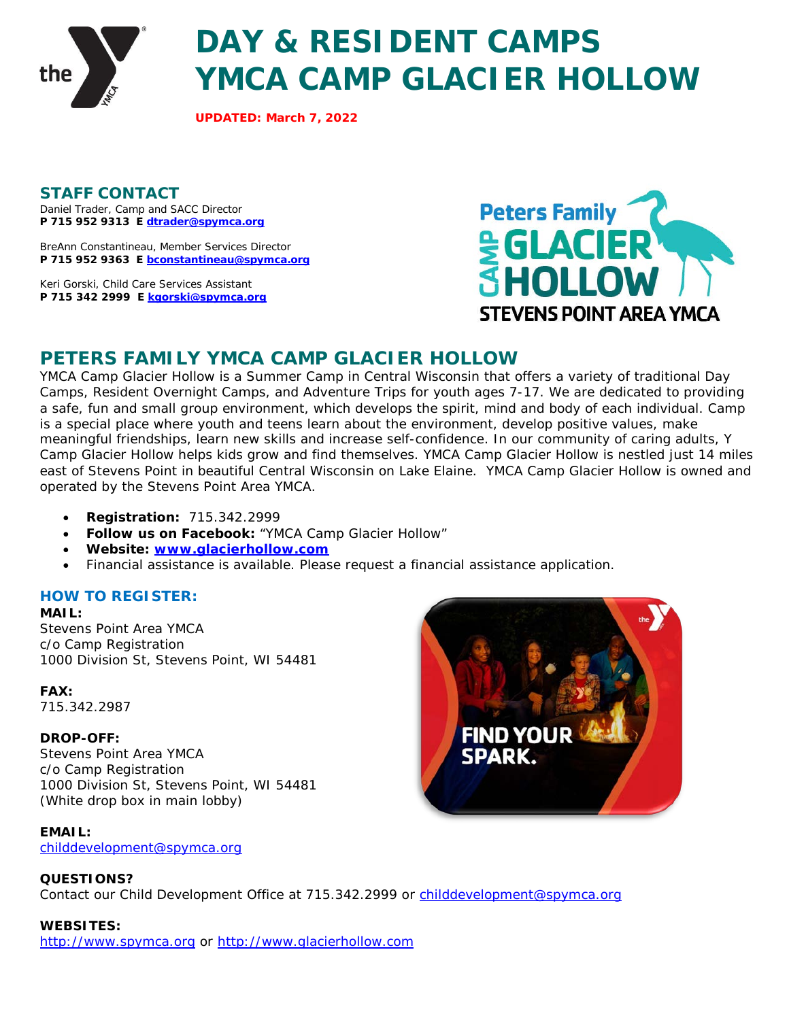

# **DAY & RESIDENT CAMPS YMCA CAMP GLACIER HOLLOW**

**UPDATED: March 7, 2022**

**STAFF CONTACT**  Daniel Trader, Camp and SACC Director **P 715 952 9313 E [dtrader@spymca.org](mailto:dtrader@spymca.org)**

BreAnn Constantineau, Member Services Director **P 715 952 9363 E [bconstantineau@spymca.org](mailto:bconstantineau@spymca.org)**

Keri Gorski, Child Care Services Assistant **P 715 342 2999 E [kgorski@spymca.org](mailto:kgorski@spymca.org)**



# **PETERS FAMILY YMCA CAMP GLACIER HOLLOW**

YMCA Camp Glacier Hollow is a Summer Camp in Central Wisconsin that offers a variety of traditional Day Camps, Resident Overnight Camps, and Adventure Trips for youth ages 7-17. We are dedicated to providing a safe, fun and small group environment, which develops the spirit, mind and body of each individual. Camp is a special place where youth and teens learn about the environment, develop positive values, make meaningful friendships, learn new skills and increase self-confidence. In our community of caring adults, Y Camp Glacier Hollow helps kids grow and find themselves. YMCA Camp Glacier Hollow is nestled just 14 miles east of Stevens Point in beautiful Central Wisconsin on Lake Elaine. YMCA Camp Glacier Hollow is owned and operated by the Stevens Point Area YMCA.

- **Registration:** 715.342.2999
- **Follow us on Facebook:** "YMCA Camp Glacier Hollow"
- **Website: [www.glacierhollow.com](file://spymca-dc-01.ymca.local/Shared/11Marketing/Program%20Guides/2020_Online_Program_Guides/CHILD%20CARE%20&%20CAMP/www.glacierhollow.com)**
- Financial assistance is available. Please request a financial assistance application.

## **HOW TO REGISTER:**

**MAIL:** Stevens Point Area YMCA c/o Camp Registration 1000 Division St, Stevens Point, WI 54481

**FAX:**  715.342.2987

#### **DROP-OFF:**

Stevens Point Area YMCA c/o Camp Registration 1000 Division St, Stevens Point, WI 54481 (White drop box in main lobby)

**EMAIL:**  [childdevelopment@spymca.org](mailto:childdevelopment@spymca.org)



Contact our Child Development Office at 715.342.2999 or [childdevelopment@spymca.org](mailto:childdevelopment@spymca.org)

#### **WEBSITES:**

[http://www.spymca.org](http://www.spymca.org/) or [http://www.glacierhollow.com](http://www.glacierhollow.com/)

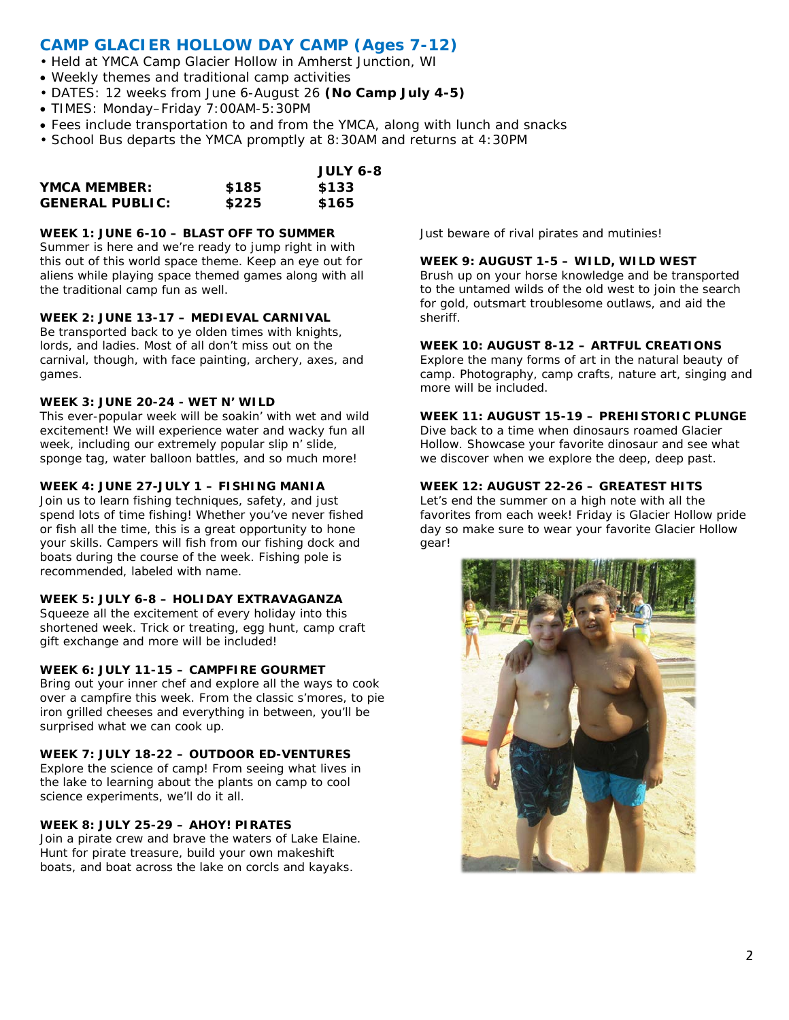# **CAMP GLACIER HOLLOW DAY CAMP (Ages 7-12)**

- Held at YMCA Camp Glacier Hollow in Amherst Junction, WI
- Weekly themes and traditional camp activities
- DATES: 12 weeks from June 6-August 26 **(No Camp July 4-5)**
- TIMES: Monday–Friday 7:00AM-5:30PM
- Fees include transportation to and from the YMCA, along with lunch and snacks
- School Bus departs the YMCA promptly at 8:30AM and returns at 4:30PM

|                        |       | <b>JULY 6-8</b> |
|------------------------|-------|-----------------|
| YMCA MEMBER:           | \$185 | \$133           |
| <b>GENERAL PUBLIC:</b> | \$225 | \$165           |

#### **WEEK 1: JUNE 6-10 – BLAST OFF TO SUMMER**

Summer is here and we're ready to jump right in with this out of this world space theme. Keep an eye out for aliens while playing space themed games along with all the traditional camp fun as well.

#### **WEEK 2: JUNE 13-17 – MEDIEVAL CARNIVAL**

Be transported back to ye olden times with knights, lords, and ladies. Most of all don't miss out on the carnival, though, with face painting, archery, axes, and games.

#### **WEEK 3: JUNE 20-24 - WET N' WILD**

This ever-popular week will be soakin' with wet and wild excitement! We will experience water and wacky fun all week, including our extremely popular slip n' slide, sponge tag, water balloon battles, and so much more!

#### **WEEK 4: JUNE 27-JULY 1 – FISHING MANIA**

Join us to learn fishing techniques, safety, and just spend lots of time fishing! Whether you've never fished or fish all the time, this is a great opportunity to hone your skills. Campers will fish from our fishing dock and boats during the course of the week. Fishing pole is recommended, labeled with name.

#### **WEEK 5: JULY 6-8 – HOLIDAY EXTRAVAGANZA**

Squeeze all the excitement of every holiday into this shortened week. Trick or treating, egg hunt, camp craft gift exchange and more will be included!

#### **WEEK 6: JULY 11-15 – CAMPFIRE GOURMET**

Bring out your inner chef and explore all the ways to cook over a campfire this week. From the classic s'mores, to pie iron grilled cheeses and everything in between, you'll be surprised what we can cook up.

#### **WEEK 7: JULY 18-22 – OUTDOOR ED-VENTURES**

Explore the science of camp! From seeing what lives in the lake to learning about the plants on camp to cool science experiments, we'll do it all.

#### **WEEK 8: JULY 25-29 – AHOY! PIRATES**

Join a pirate crew and brave the waters of Lake Elaine. Hunt for pirate treasure, build your own makeshift boats, and boat across the lake on corcls and kayaks.

Just beware of rival pirates and mutinies!

#### **WEEK 9: AUGUST 1-5 – WILD, WILD WEST**

Brush up on your horse knowledge and be transported to the untamed wilds of the old west to join the search for gold, outsmart troublesome outlaws, and aid the sheriff.

#### **WEEK 10: AUGUST 8-12 – ARTFUL CREATIONS**

Explore the many forms of art in the natural beauty of camp. Photography, camp crafts, nature art, singing and more will be included.

#### **WEEK 11: AUGUST 15-19 – PREHISTORIC PLUNGE**

Dive back to a time when dinosaurs roamed Glacier Hollow. Showcase your favorite dinosaur and see what we discover when we explore the deep, deep past.

#### **WEEK 12: AUGUST 22-26 – GREATEST HITS**

Let's end the summer on a high note with all the favorites from each week! Friday is Glacier Hollow pride day so make sure to wear your favorite Glacier Hollow gear!

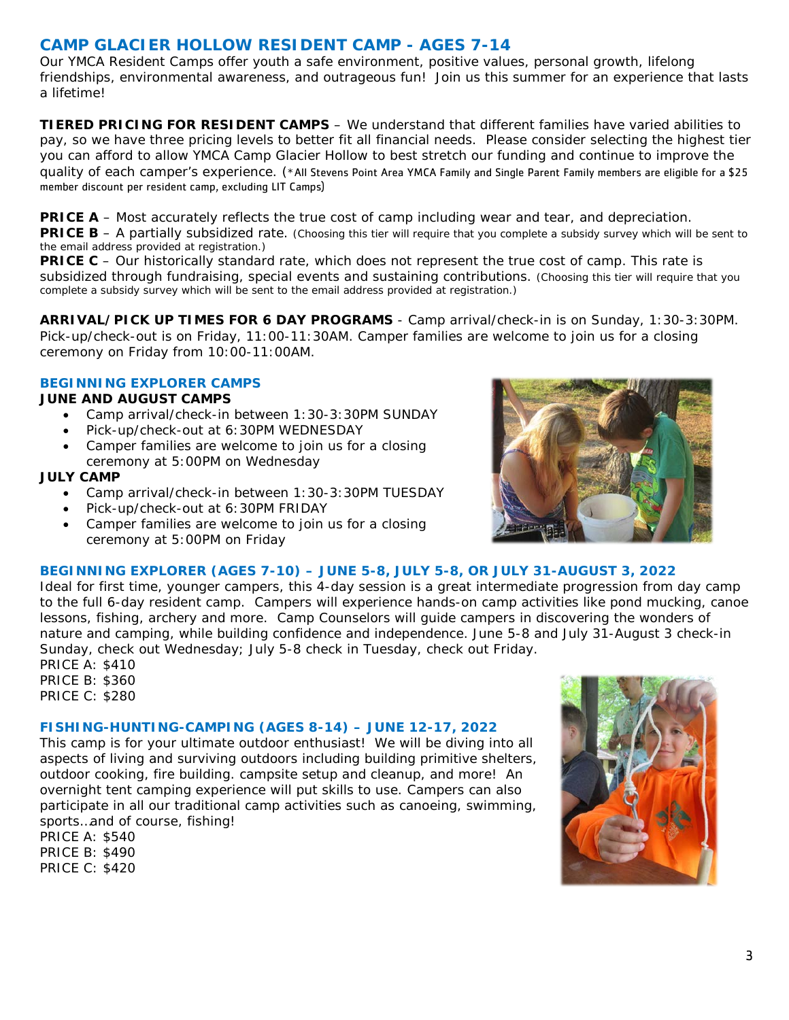# **CAMP GLACIER HOLLOW RESIDENT CAMP - AGES 7-14**

Our YMCA Resident Camps offer youth a safe environment, positive values, personal growth, lifelong friendships, environmental awareness, and outrageous fun! Join us this summer for an experience that lasts a lifetime!

**TIERED PRICING FOR RESIDENT CAMPS** – We understand that different families have varied abilities to pay, so we have three pricing levels to better fit all financial needs. Please consider selecting the highest tier you can afford to allow YMCA Camp Glacier Hollow to best stretch our funding and continue to improve the quality of each camper's experience. (\*All Stevens Point Area YMCA Family and Single Parent Family members are eligible for a \$25 member discount per resident camp, excluding LIT Camps)

**PRICE A** – Most accurately reflects the true cost of camp including wear and tear, and depreciation.

**PRICE B** – A partially subsidized rate. (Choosing this tier will require that you complete a subsidy survey which will be sent to the email address provided at registration.)

**PRICE C** – Our historically standard rate, which does not represent the true cost of camp. This rate is subsidized through fundraising, special events and sustaining contributions. (Choosing this tier will require that you complete a subsidy survey which will be sent to the email address provided at registration.)

**ARRIVAL/PICK UP TIMES FOR 6 DAY PROGRAMS** - Camp arrival/check-in is on Sunday, 1:30-3:30PM. Pick-up/check-out is on Friday, 11:00-11:30AM. Camper families are welcome to join us for a closing ceremony on Friday from 10:00-11:00AM.

#### **BEGINNING EXPLORER CAMPS**

#### **JUNE AND AUGUST CAMPS**

- Camp arrival/check-in between 1:30-3:30PM SUNDAY
- Pick-up/check-out at 6:30PM WEDNESDAY
- Camper families are welcome to join us for a closing ceremony at 5:00PM on Wednesday

#### **JULY CAMP**

- Camp arrival/check-in between 1:30-3:30PM TUESDAY
- Pick-up/check-out at 6:30PM FRIDAY
- Camper families are welcome to join us for a closing ceremony at 5:00PM on Friday



#### **BEGINNING EXPLORER (AGES 7-10) – JUNE 5-8, JULY 5-8, OR JULY 31-AUGUST 3, 2022**

Ideal for first time, younger campers, this 4-day session is a great intermediate progression from day camp to the full 6-day resident camp. Campers will experience hands-on camp activities like pond mucking, canoe lessons, fishing, archery and more. Camp Counselors will guide campers in discovering the wonders of nature and camping, while building confidence and independence. June 5-8 and July 31-August 3 check-in Sunday, check out Wednesday; July 5-8 check in Tuesday, check out Friday.

PRICE A: \$410 PRICE B: \$360 PRICE C: \$280

#### **FISHING-HUNTING-CAMPING (AGES 8-14) – JUNE 12-17, 2022**

This camp is for your ultimate outdoor enthusiast! We will be diving into all aspects of living and surviving outdoors including building primitive shelters, outdoor cooking, fire building. campsite setup and cleanup, and more! An overnight tent camping experience will put skills to use. Campers can also participate in all our traditional camp activities such as canoeing, swimming, sports…and of course, fishing!

PRICE A: \$540 PRICE B: \$490 PRICE C: \$420

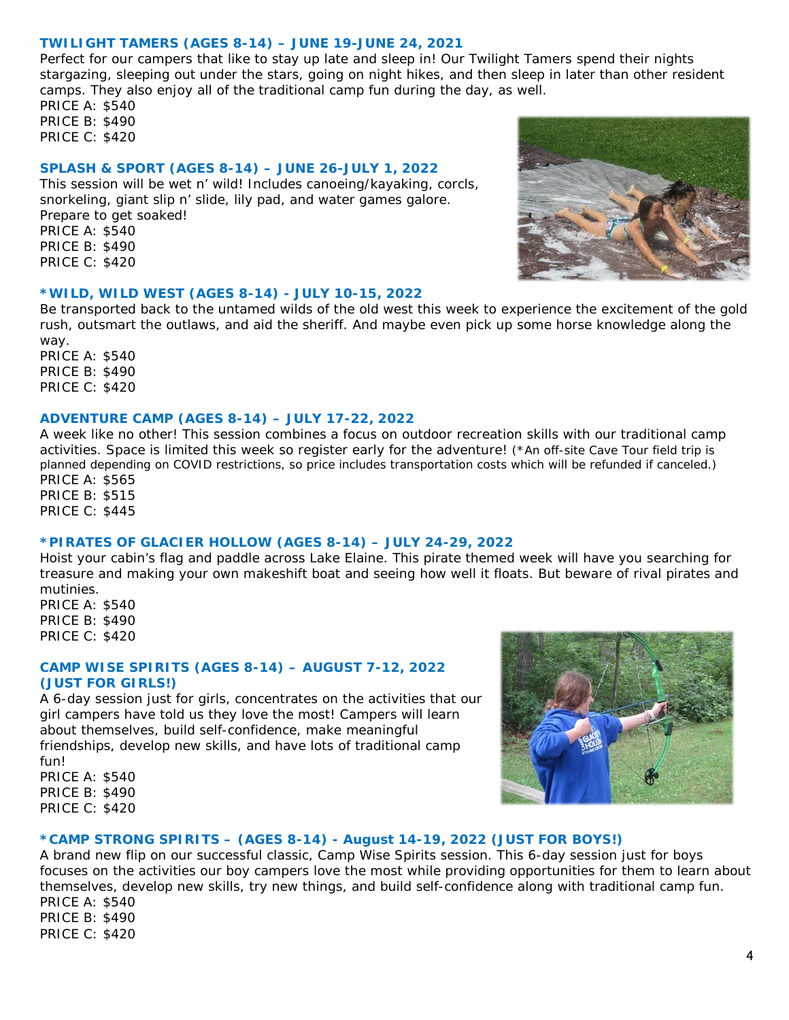#### **TWILIGHT TAMERS (AGES 8-14) – JUNE 19-JUNE 24, 2021**

Perfect for our campers that like to stay up late and sleep in! Our Twilight Tamers spend their nights stargazing, sleeping out under the stars, going on night hikes, and then sleep in later than other resident camps. They also enjoy all of the traditional camp fun during the day, as well.

PRICE A: \$540 PRICE B: \$490 PRICE C: \$420

#### **SPLASH & SPORT (AGES 8-14) – JUNE 26-JULY 1, 2022**

This session will be wet n' wild! Includes canoeing/kayaking, corcls, snorkeling, giant slip n' slide, lily pad, and water games galore. Prepare to get soaked! PRICE A: \$540 PRICE B: \$490 PRICE C: \$420



#### **\*WILD, WILD WEST (AGES 8-14) - JULY 10-15, 2022**

Be transported back to the untamed wilds of the old west this week to experience the excitement of the gold rush, outsmart the outlaws, and aid the sheriff. And maybe even pick up some horse knowledge along the way.

PRICE A: \$540 PRICE B: \$490 PRICE C: \$420

#### **ADVENTURE CAMP (AGES 8-14) – JULY 17-22, 2022**

A week like no other! This session combines a focus on outdoor recreation skills with our traditional camp activities. Space is limited this week so register early for the adventure! (\*An off-site Cave Tour field trip is planned depending on COVID restrictions, so price includes transportation costs which will be refunded if canceled.) PRICE A: \$565

PRICE B: \$515 PRICE C: \$445

#### **\*PIRATES OF GLACIER HOLLOW (AGES 8-14) – JULY 24-29, 2022**

Hoist your cabin's flag and paddle across Lake Elaine. This pirate themed week will have you searching for treasure and making your own makeshift boat and seeing how well it floats. But beware of rival pirates and mutinies.

PRICE A: \$540 PRICE B: \$490 PRICE C: \$420

#### **CAMP WISE SPIRITS (AGES 8-14) – AUGUST 7-12, 2022 (JUST FOR GIRLS!)**

A 6-day session just for girls, concentrates on the activities that our girl campers have told us they love the most! Campers will learn about themselves, build self-confidence, make meaningful friendships, develop new skills, and have lots of traditional camp fun!

PRICE A: \$540 PRICE B: \$490 PRICE C: \$420



#### **\*CAMP STRONG SPIRITS – (AGES 8-14) - August 14-19, 2022 (JUST FOR BOYS!)**

A brand new flip on our successful classic, Camp Wise Spirits session. This 6-day session just for boys focuses on the activities our boy campers love the most while providing opportunities for them to learn about themselves, develop new skills, try new things, and build self-confidence along with traditional camp fun. PRICE A: \$540

PRICE B: \$490 PRICE C: \$420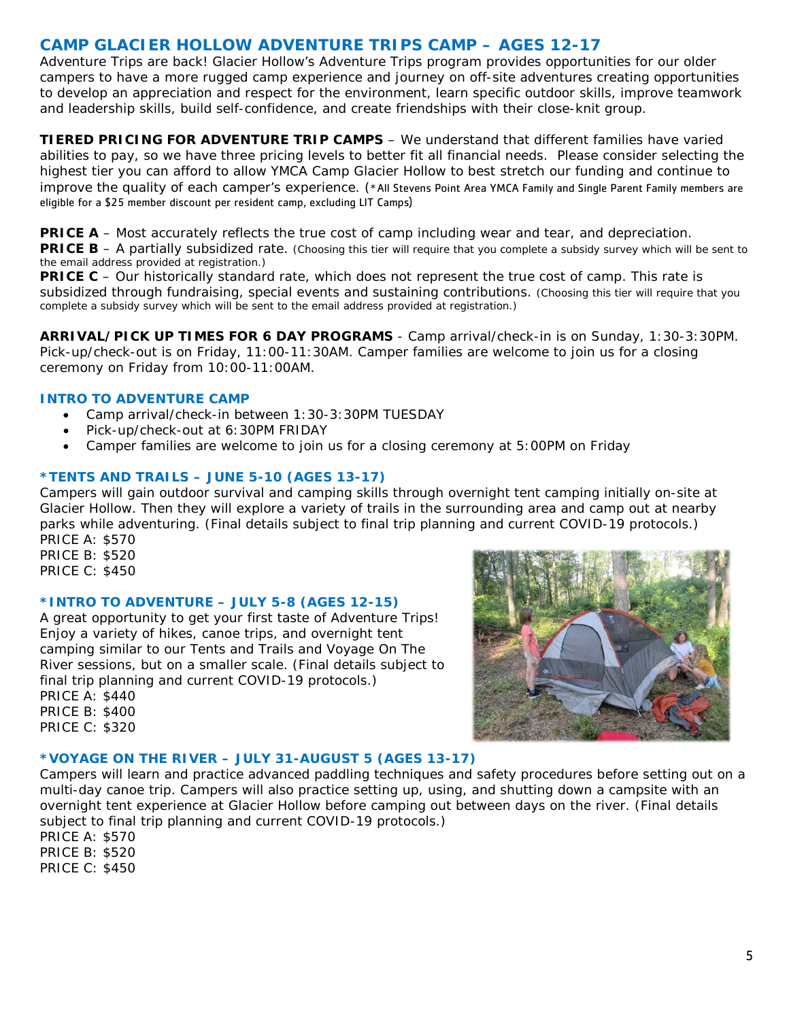# **CAMP GLACIER HOLLOW ADVENTURE TRIPS CAMP – AGES 12-17**

Adventure Trips are back! Glacier Hollow's Adventure Trips program provides opportunities for our older campers to have a more rugged camp experience and journey on off-site adventures creating opportunities to develop an appreciation and respect for the environment, learn specific outdoor skills, improve teamwork and leadership skills, build self-confidence, and create friendships with their close-knit group.

**TIERED PRICING FOR ADVENTURE TRIP CAMPS** – We understand that different families have varied abilities to pay, so we have three pricing levels to better fit all financial needs. Please consider selecting the highest tier you can afford to allow YMCA Camp Glacier Hollow to best stretch our funding and continue to improve the quality of each camper's experience. (\*All Stevens Point Area YMCA Family and Single Parent Family members are eligible for a \$25 member discount per resident camp, excluding LIT Camps)

**PRICE A** – Most accurately reflects the true cost of camp including wear and tear, and depreciation. **PRICE B** – A partially subsidized rate. (Choosing this tier will require that you complete a subsidy survey which will be sent to the email address provided at registration.)

**PRICE C** – Our historically standard rate, which does not represent the true cost of camp. This rate is subsidized through fundraising, special events and sustaining contributions. (Choosing this tier will require that you complete a subsidy survey which will be sent to the email address provided at registration.)

**ARRIVAL/PICK UP TIMES FOR 6 DAY PROGRAMS** - Camp arrival/check-in is on Sunday, 1:30-3:30PM. Pick-up/check-out is on Friday, 11:00-11:30AM. Camper families are welcome to join us for a closing ceremony on Friday from 10:00-11:00AM.

### **INTRO TO ADVENTURE CAMP**

- Camp arrival/check-in between 1:30-3:30PM TUESDAY
- Pick-up/check-out at 6:30PM FRIDAY
- Camper families are welcome to join us for a closing ceremony at 5:00PM on Friday

#### **\*TENTS AND TRAILS – JUNE 5-10 (AGES 13-17)**

Campers will gain outdoor survival and camping skills through overnight tent camping initially on-site at Glacier Hollow. Then they will explore a variety of trails in the surrounding area and camp out at nearby parks while adventuring. (Final details subject to final trip planning and current COVID-19 protocols.) PRICE A: \$570

PRICE B: \$520 PRICE C: \$450

#### **\*INTRO TO ADVENTURE – JULY 5-8 (AGES 12-15)**

A great opportunity to get your first taste of Adventure Trips! Enjoy a variety of hikes, canoe trips, and overnight tent camping similar to our Tents and Trails and Voyage On The River sessions, but on a smaller scale. (Final details subject to final trip planning and current COVID-19 protocols.) PRICE A: \$440

PRICE B: \$400 PRICE C: \$320



#### **\*VOYAGE ON THE RIVER – JULY 31-AUGUST 5 (AGES 13-17)**

Campers will learn and practice advanced paddling techniques and safety procedures before setting out on a multi-day canoe trip. Campers will also practice setting up, using, and shutting down a campsite with an overnight tent experience at Glacier Hollow before camping out between days on the river. (Final details subject to final trip planning and current COVID-19 protocols.)

PRICE A: \$570 PRICE B: \$520 PRICE C: \$450